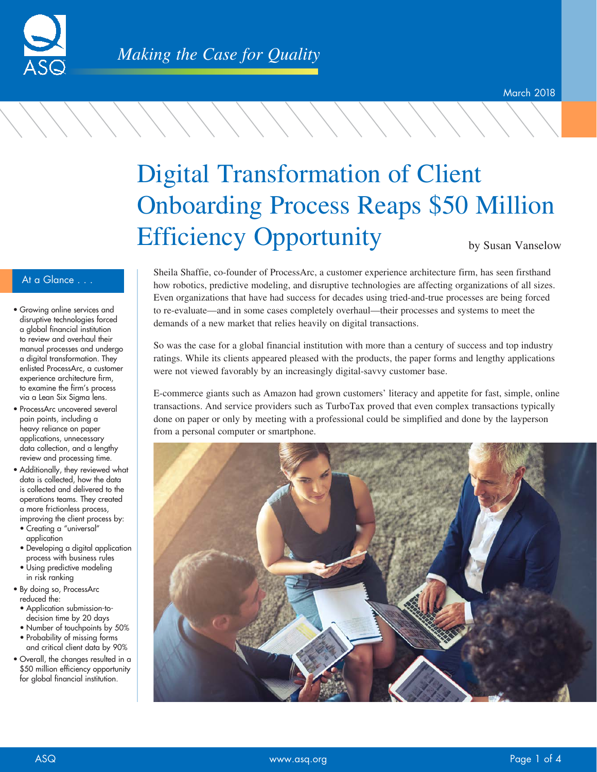

# Digital Transformation of Client Onboarding Process Reaps \$50 Million Efficiency Opportunity

by Susan Vanselow

## At a Glance . . .

- Growing online services and disruptive technologies forced a global financial institution to review and overhaul their manual processes and undergo a digital transformation. They enlisted ProcessArc, a customer experience architecture firm, to examine the firm's process via a Lean Six Sigma lens.
- ProcessArc uncovered several pain points, including a heavy reliance on paper applications, unnecessary data collection, and a lengthy review and processing time.
- Additionally, they reviewed what data is collected, how the data is collected and delivered to the operations teams. They created a more frictionless process, improving the client process by:
- Creating a "universal" application
- Developing a digital application process with business rules
- Using predictive modeling in risk ranking
- By doing so, ProcessArc reduced the:
- Application submission-todecision time by 20 days
- Number of touchpoints by 50% • Probability of missing forms
- and critical client data by 90% • Overall, the changes resulted in a \$50 million efficiency opportunity for global financial institution.

Sheila Shaffie, co-founder of ProcessArc, a customer experience architecture firm, has seen firsthand how robotics, predictive modeling, and disruptive technologies are affecting organizations of all sizes. Even organizations that have had success for decades using tried-and-true processes are being forced to re-evaluate—and in some cases completely overhaul—their processes and systems to meet the demands of a new market that relies heavily on digital transactions.

So was the case for a global financial institution with more than a century of success and top industry ratings. While its clients appeared pleased with the products, the paper forms and lengthy applications were not viewed favorably by an increasingly digital-savvy customer base.

E-commerce giants such as Amazon had grown customers' literacy and appetite for fast, simple, online transactions. And service providers such as TurboTax proved that even complex transactions typically done on paper or only by meeting with a professional could be simplified and done by the layperson from a personal computer or smartphone.

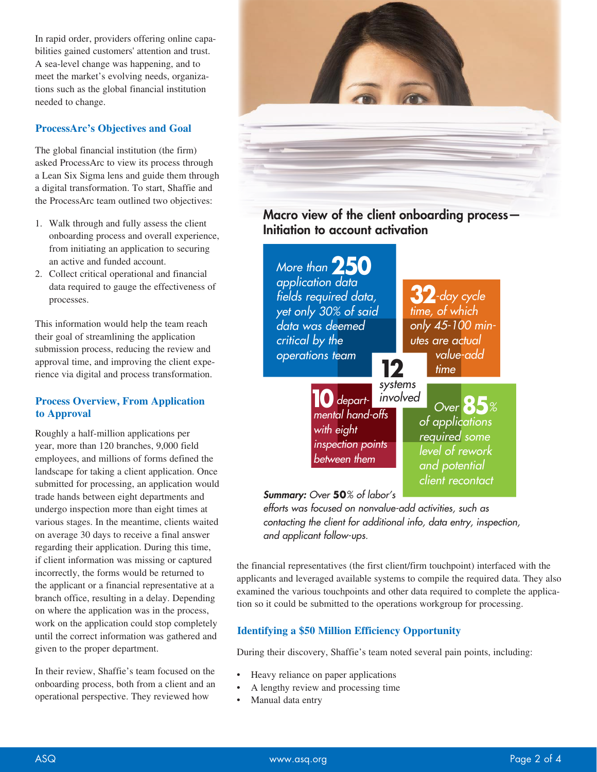In rapid order, providers offering online capabilities gained customers' attention and trust. A sea-level change was happening, and to meet the market's evolving needs, organizations such as the global financial institution needed to change.

### **ProcessArc's Objectives and Goal**

The global financial institution (the firm) asked ProcessArc to view its process through a Lean Six Sigma lens and guide them through a digital transformation. To start, Shaffie and the ProcessArc team outlined two objectives:

- 1. Walk through and fully assess the client onboarding process and overall experience, from initiating an application to securing an active and funded account.
- 2. Collect critical operational and financial data required to gauge the effectiveness of processes.

This information would help the team reach their goal of streamlining the application submission process, reducing the review and approval time, and improving the client experience via digital and process transformation.

## **Process Overview, From Application to Approval**

Roughly a half-million applications per year, more than 120 branches, 9,000 field employees, and millions of forms defined the landscape for taking a client application. Once submitted for processing, an application would trade hands between eight departments and undergo inspection more than eight times at various stages. In the meantime, clients waited on average 30 days to receive a final answer regarding their application. During this time, if client information was missing or captured incorrectly, the forms would be returned to the applicant or a financial representative at a branch office, resulting in a delay. Depending on where the application was in the process, work on the application could stop completely until the correct information was gathered and given to the proper department.

In their review, Shaffie's team focused on the onboarding process, both from a client and an operational perspective. They reviewed how



## Macro view of the client onboarding process— Initiation to account activation

**32***-day cycle time, of which only 45-100 minutes are actual value-add time Over* **85***% of applications required some level of rework and potential client recontact mental hand-offs with eight inspection points between them More than* **250** *application data fields required data, yet only 30% of said data was deemed critical by the operations team* **<sup>12</sup>** *systems*  **10***depart- involved*

*Summary: Over* **50***% of labor's* 

*efforts was focused on nonvalue-add activities, such as contacting the client for additional info, data entry, inspection, and applicant follow-ups.*

the financial representatives (the first client/firm touchpoint) interfaced with the applicants and leveraged available systems to compile the required data. They also examined the various touchpoints and other data required to complete the application so it could be submitted to the operations workgroup for processing.

## **Identifying a \$50 Million Efficiency Opportunity**

During their discovery, Shaffie's team noted several pain points, including:

- Heavy reliance on paper applications
- A lengthy review and processing time
- Manual data entry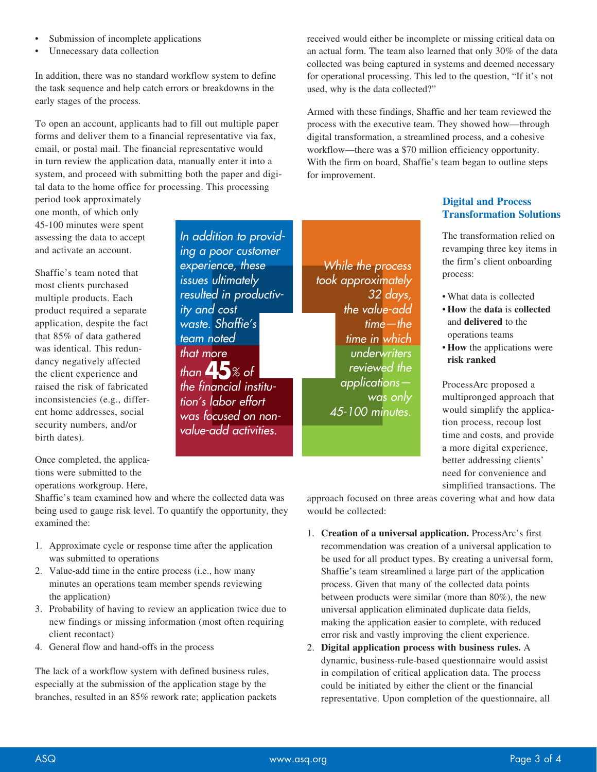- Submission of incomplete applications
- Unnecessary data collection

In addition, there was no standard workflow system to define the task sequence and help catch errors or breakdowns in the early stages of the process.

To open an account, applicants had to fill out multiple paper forms and deliver them to a financial representative via fax, email, or postal mail. The financial representative would in turn review the application data, manually enter it into a system, and proceed with submitting both the paper and digital data to the home office for processing. This processing

> *In addition to providing a poor customer experience, these issues ultimately resulted in productiv-*

*ity and cost waste. Shaffie's team noted that more*

*than* **45***% of the financial institution's labor effort was focused on nonvalue-add activities.*

period took approximately one month, of which only 45-100 minutes were spent assessing the data to accept and activate an account.

Shaffie's team noted that most clients purchased multiple products. Each product required a separate application, despite the fact that 85% of data gathered was identical. This redundancy negatively affected the client experience and raised the risk of fabricated inconsistencies (e.g., different home addresses, social security numbers, and/or birth dates).

Once completed, the applications were submitted to the operations workgroup. Here,

Shaffie's team examined how and where the collected data was being used to gauge risk level. To quantify the opportunity, they examined the:

- 1. Approximate cycle or response time after the application was submitted to operations
- 2. Value-add time in the entire process (i.e., how many minutes an operations team member spends reviewing the application)
- 3. Probability of having to review an application twice due to new findings or missing information (most often requiring client recontact)
- 4. General flow and hand-offs in the process

The lack of a workflow system with defined business rules, especially at the submission of the application stage by the branches, resulted in an 85% rework rate; application packets received would either be incomplete or missing critical data on an actual form. The team also learned that only 30% of the data collected was being captured in systems and deemed necessary for operational processing. This led to the question, "If it's not used, why is the data collected?"

Armed with these findings, Shaffie and her team reviewed the process with the executive team. They showed how—through digital transformation, a streamlined process, and a cohesive workflow—there was a \$70 million efficiency opportunity. With the firm on board, Shaffie's team began to outline steps for improvement.

*While the process took approximately* 

> *32 days, the value-add time—the time in which underwriters reviewed the applications—*

> > *was only*

*45-100 minutes.*

## **Digital and Process Transformation Solutions**

The transformation relied on revamping three key items in the firm's client onboarding process:

- What data is collected
- **How** the **data** is **collected** and **delivered** to the operations teams
- **How** the applications were **risk ranked**

ProcessArc proposed a multipronged approach that would simplify the application process, recoup lost time and costs, and provide a more digital experience, better addressing clients' need for convenience and simplified transactions. The

approach focused on three areas covering what and how data would be collected:

- 1. **Creation of a universal application.** ProcessArc's first recommendation was creation of a universal application to be used for all product types. By creating a universal form, Shaffie's team streamlined a large part of the application process. Given that many of the collected data points between products were similar (more than 80%), the new universal application eliminated duplicate data fields, making the application easier to complete, with reduced error risk and vastly improving the client experience.
- 2. **Digital application process with business rules.** A dynamic, business-rule-based questionnaire would assist in compilation of critical application data. The process could be initiated by either the client or the financial representative. Upon completion of the questionnaire, all